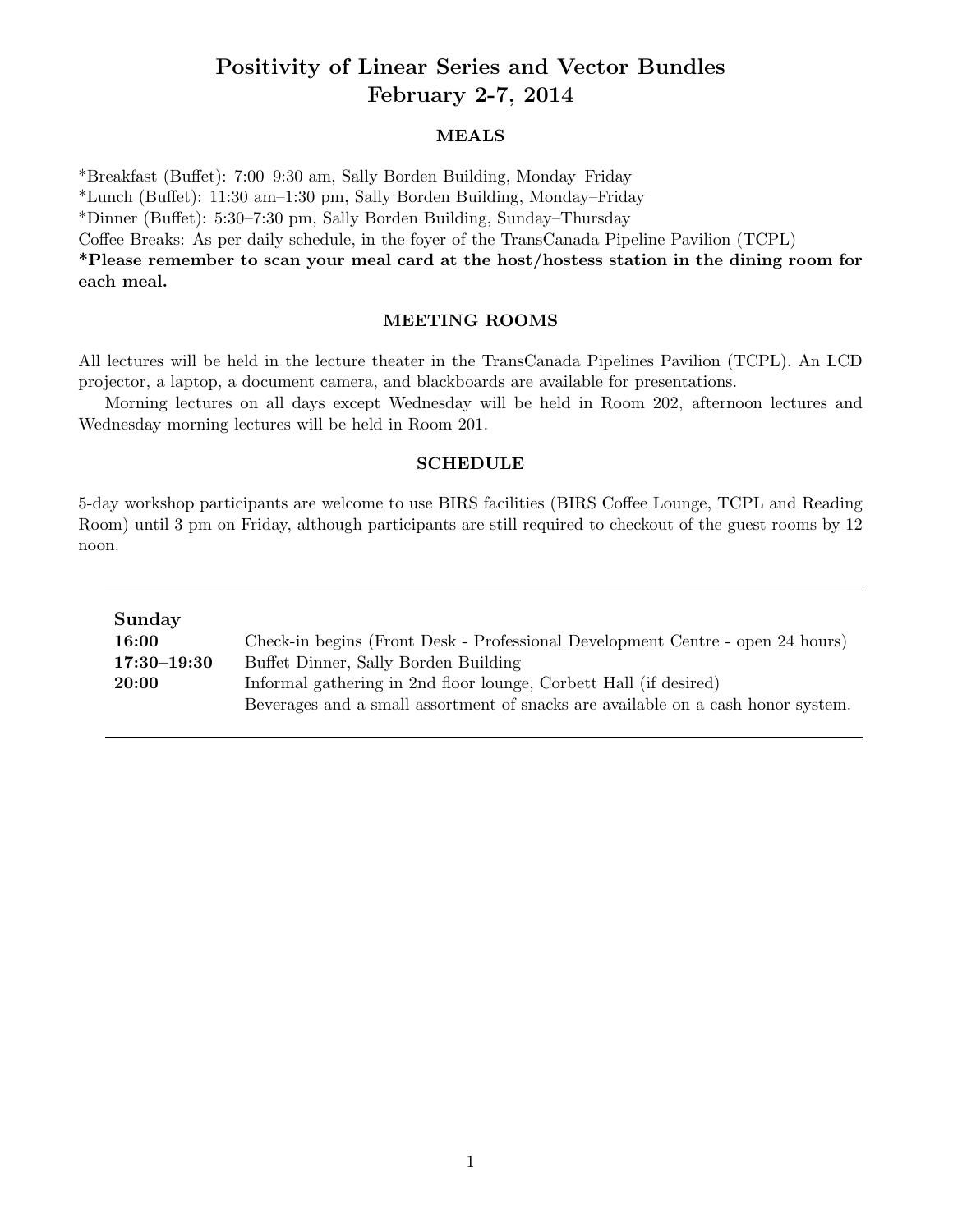# Positivity of Linear Series and Vector Bundles February 2-7, 2014

### MEALS

\*Breakfast (Bu↵et): 7:00–9:30 am, Sally Borden Building, Monday–Friday

\*Lunch (Bu↵et): 11:30 am–1:30 pm, Sally Borden Building, Monday–Friday

\*Dinner (Bu↵et): 5:30–7:30 pm, Sally Borden Building, Sunday–Thursday

Coffee Breaks: As per daily schedule, in the foyer of the TransCanada Pipeline Pavilion (TCPL)

\*Please remember to scan your meal card at the host/hostess station in the dining room for each meal.

#### MEETING ROOMS

All lectures will be held in the lecture theater in the TransCanada Pipelines Pavilion (TCPL). An LCD projector, a laptop, a document camera, and blackboards are available for presentations.

Morning lectures on all days except Wednesday will be held in Room 202, afternoon lectures and Wednesday morning lectures will be held in Room 201.

#### SCHEDULE

5-day workshop participants are welcome to use BIRS facilities (BIRS Coffee Lounge, TCPL and Reading Room) until 3 pm on Friday, although participants are still required to checkout of the guest rooms by 12 noon.

| Sunday          |                                                                                  |
|-----------------|----------------------------------------------------------------------------------|
| 16:00           | Check-in begins (Front Desk - Professional Development Centre - open 24 hours)   |
| $17:30 - 19:30$ | Buffet Dinner, Sally Borden Building                                             |
| 20:00           | Informal gathering in 2nd floor lounge, Corbett Hall (if desired)                |
|                 | Beverages and a small assortment of snacks are available on a cash honor system. |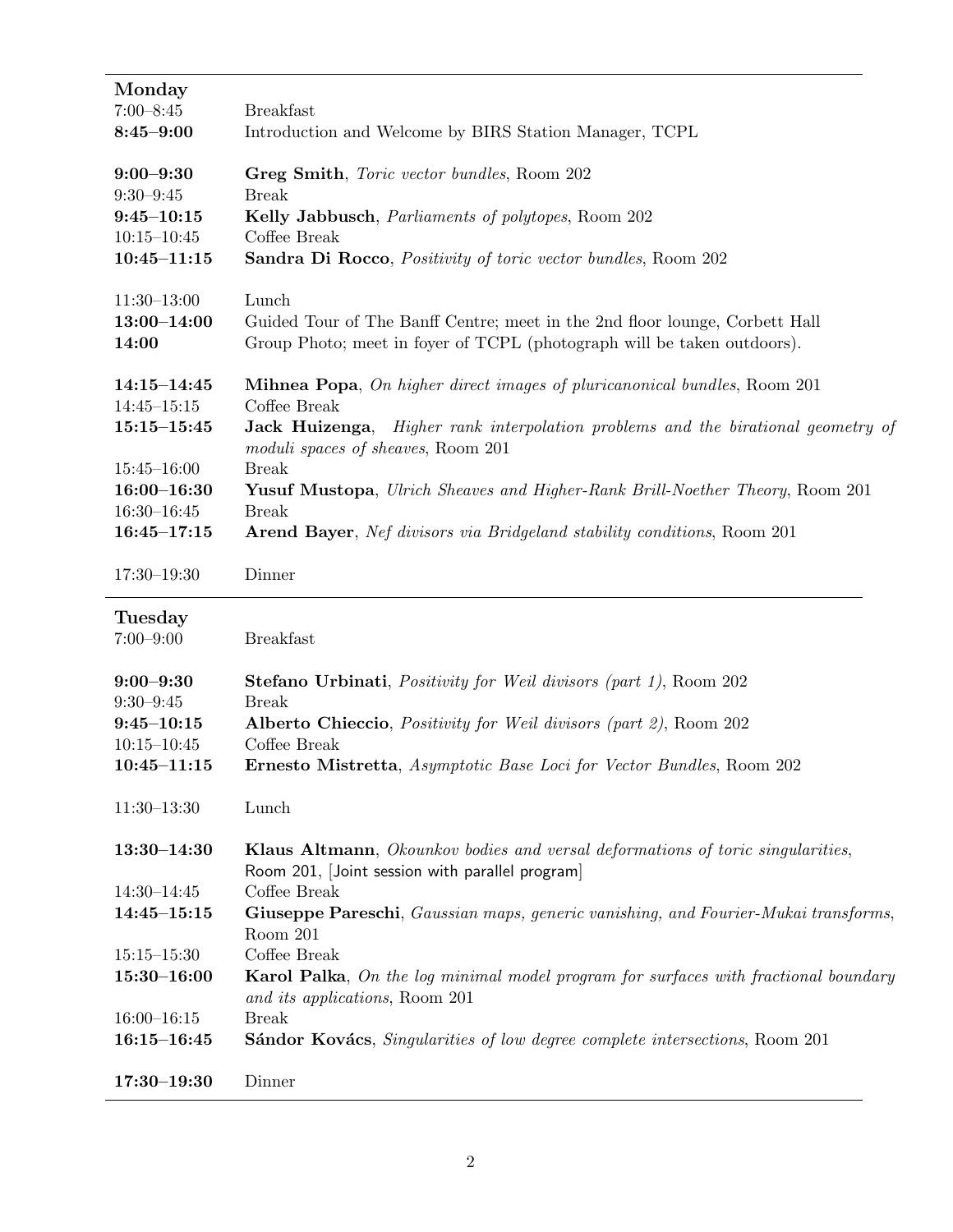| Monday<br>$7:00 - 8:45$<br>$8:45 - 9:00$                                               | <b>Breakfast</b><br>Introduction and Welcome by BIRS Station Manager, TCPL                                                                                                                                                                                             |
|----------------------------------------------------------------------------------------|------------------------------------------------------------------------------------------------------------------------------------------------------------------------------------------------------------------------------------------------------------------------|
| $9:00 - 9:30$<br>$9:30 - 9:45$<br>$9:45 - 10:15$<br>$10:15 - 10:45$<br>$10:45 - 11:15$ | Greg Smith, Toric vector bundles, Room 202<br><b>Break</b><br>Kelly Jabbusch, <i>Parliaments of polytopes</i> , Room 202<br>Coffee Break<br>Sandra Di Rocco, Positivity of toric vector bundles, Room 202                                                              |
| $11:30-13:00$<br>$13:00 - 14:00$<br>14:00                                              | Lunch<br>Guided Tour of The Banff Centre; meet in the 2nd floor lounge, Corbett Hall<br>Group Photo; meet in foyer of TCPL (photograph will be taken outdoors).                                                                                                        |
| $14:15 - 14:45$<br>$14:45 - 15:15$<br>$15:15 - 15:45$                                  | <b>Mihnea Popa</b> , On higher direct images of pluricanonical bundles, Room 201<br>Coffee Break<br>Jack Huizenga, Higher rank interpolation problems and the birational geometry of<br>moduli spaces of sheaves, Room 201                                             |
| $15:45 - 16:00$<br>$16:00 - 16:30$<br>$16:30 - 16:45$<br>$16:45 - 17:15$               | <b>Break</b><br><b>Yusuf Mustopa</b> , Ulrich Sheaves and Higher-Rank Brill-Noether Theory, Room 201<br><b>Break</b><br>Arend Bayer, Nef divisors via Bridgeland stability conditions, Room 201                                                                        |
| $17:30 - 19:30$                                                                        | Dinner                                                                                                                                                                                                                                                                 |
|                                                                                        |                                                                                                                                                                                                                                                                        |
| Tuesday<br>$7:00 - 9:00$                                                               | <b>Breakfast</b>                                                                                                                                                                                                                                                       |
| $9:00 - 9:30$<br>$9:30 - 9:45$<br>$9:45 - 10:15$<br>$10:15 - 10:45$<br>$10:45 - 11:15$ | Stefano Urbinati, <i>Positivity for Weil divisors (part 1)</i> , Room 202<br><b>Break</b><br>Alberto Chieccio, Positivity for Weil divisors (part 2), Room 202<br>Coffee Break<br><b>Ernesto Mistretta</b> , <i>Asymptotic Base Loci for Vector Bundles</i> , Room 202 |
| $11:30-13:30$                                                                          | Lunch                                                                                                                                                                                                                                                                  |
| $13:30 - 14:30$                                                                        | Klaus Altmann, Okounkov bodies and versal deformations of toric singularities,<br>Room 201, [Joint session with parallel program]                                                                                                                                      |
| $14:30 - 14:45$<br>$14:45 - 15:15$                                                     | Coffee Break<br>Giuseppe Pareschi, Gaussian maps, generic vanishing, and Fourier-Mukai transforms,<br>Room 201                                                                                                                                                         |
| $15:15 - 15:30$<br>$15:30 - 16:00$                                                     | Coffee Break<br><b>Karol Palka,</b> On the log minimal model program for surfaces with fractional boundary<br>and its applications, Room 201                                                                                                                           |
| $16:00 - 16:15$<br>$16:15 - 16:45$                                                     | <b>Break</b><br>Sándor Kovács, Singularities of low degree complete intersections, Room 201                                                                                                                                                                            |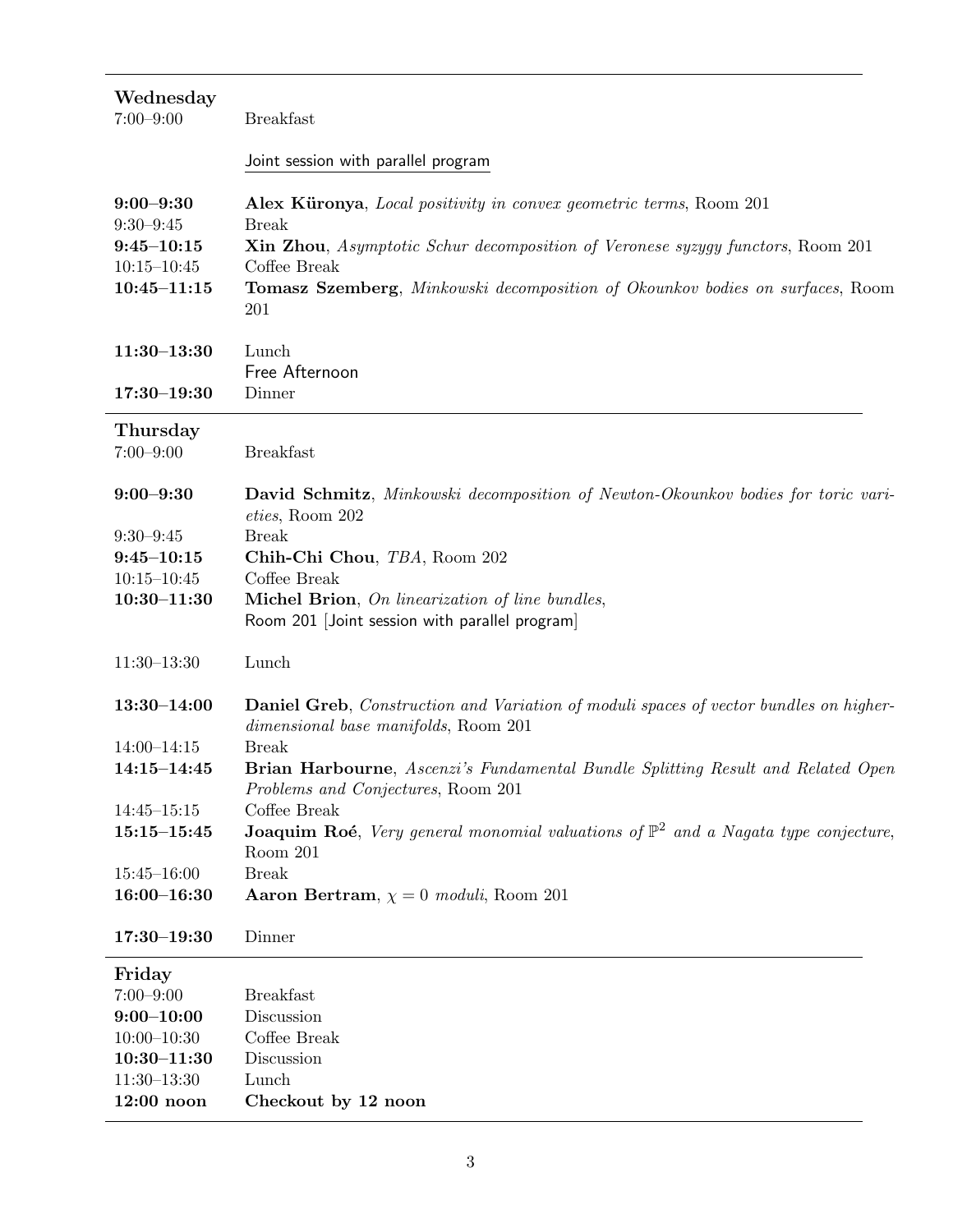| Wednesday<br>$7:00 - 9:00$                                                             | <b>Breakfast</b>                                                                                                                                                                                                                                                                             |
|----------------------------------------------------------------------------------------|----------------------------------------------------------------------------------------------------------------------------------------------------------------------------------------------------------------------------------------------------------------------------------------------|
|                                                                                        | Joint session with parallel program                                                                                                                                                                                                                                                          |
| $9:00 - 9:30$<br>$9:30 - 9:45$<br>$9:45 - 10:15$<br>$10:15 - 10:45$<br>$10:45 - 11:15$ | Alex Küronya, Local positivity in convex geometric terms, Room 201<br><b>Break</b><br><b>Xin Zhou</b> , Asymptotic Schur decomposition of Veronese syzygy functors, Room 201<br>Coffee Break<br><b>Tomasz Szemberg</b> , Minkowski decomposition of Okounkov bodies on surfaces, Room<br>201 |
| $11:30-13:30$                                                                          | Lunch<br>Free Afternoon                                                                                                                                                                                                                                                                      |
| $17:30 - 19:30$                                                                        | Dinner                                                                                                                                                                                                                                                                                       |
| Thursday<br>$7:00 - 9:00$                                                              | <b>Breakfast</b>                                                                                                                                                                                                                                                                             |
| $9:00 - 9:30$                                                                          | <b>David Schmitz</b> , Minkowski decomposition of Newton-Okounkov bodies for toric vari-<br>eties, Room 202                                                                                                                                                                                  |
| $9:30 - 9:45$                                                                          | <b>Break</b>                                                                                                                                                                                                                                                                                 |
| $9:45 - 10:15$                                                                         | Chih-Chi Chou, TBA, Room 202                                                                                                                                                                                                                                                                 |
| $10:15 - 10:45$                                                                        | Coffee Break                                                                                                                                                                                                                                                                                 |
| $10:30 - 11:30$                                                                        | Michel Brion, On linearization of line bundles,<br>Room 201 [Joint session with parallel program]                                                                                                                                                                                            |
| $11:30-13:30$                                                                          | Lunch                                                                                                                                                                                                                                                                                        |
| $13:30 - 14:00$                                                                        | <b>Daniel Greb</b> , Construction and Variation of moduli spaces of vector bundles on higher-<br>dimensional base manifolds, Room 201                                                                                                                                                        |
| $14:00 - 14:15$                                                                        | <b>Break</b>                                                                                                                                                                                                                                                                                 |
| $14:15 - 14:45$                                                                        | <b>Brian Harbourne</b> , Ascenzi's Fundamental Bundle Splitting Result and Related Open<br>Problems and Conjectures, Room 201                                                                                                                                                                |
| $14:45 - 15:15$                                                                        | Coffee Break                                                                                                                                                                                                                                                                                 |
| $15:15 - 15:45$                                                                        | <b>Joaquim Roé</b> , Very general monomial valuations of $\mathbb{P}^2$ and a Nagata type conjecture,<br>Room 201                                                                                                                                                                            |
| $15:45 - 16:00$                                                                        | <b>Break</b>                                                                                                                                                                                                                                                                                 |
| $16:00 - 16:30$                                                                        | Aaron Bertram, $\chi = 0$ moduli, Room 201                                                                                                                                                                                                                                                   |
| $17:30 - 19:30$                                                                        | Dinner                                                                                                                                                                                                                                                                                       |
| Friday                                                                                 |                                                                                                                                                                                                                                                                                              |
| $7:00 - 9:00$                                                                          | <b>Breakfast</b>                                                                                                                                                                                                                                                                             |
| $9:00 - 10:00$                                                                         | Discussion                                                                                                                                                                                                                                                                                   |
| $10:00 - 10:30$                                                                        | Coffee Break                                                                                                                                                                                                                                                                                 |
| $10:30 - 11:30$                                                                        | Discussion                                                                                                                                                                                                                                                                                   |
| $11:30-13:30$                                                                          | Lunch                                                                                                                                                                                                                                                                                        |
| $12:00$ noon                                                                           | Checkout by 12 noon                                                                                                                                                                                                                                                                          |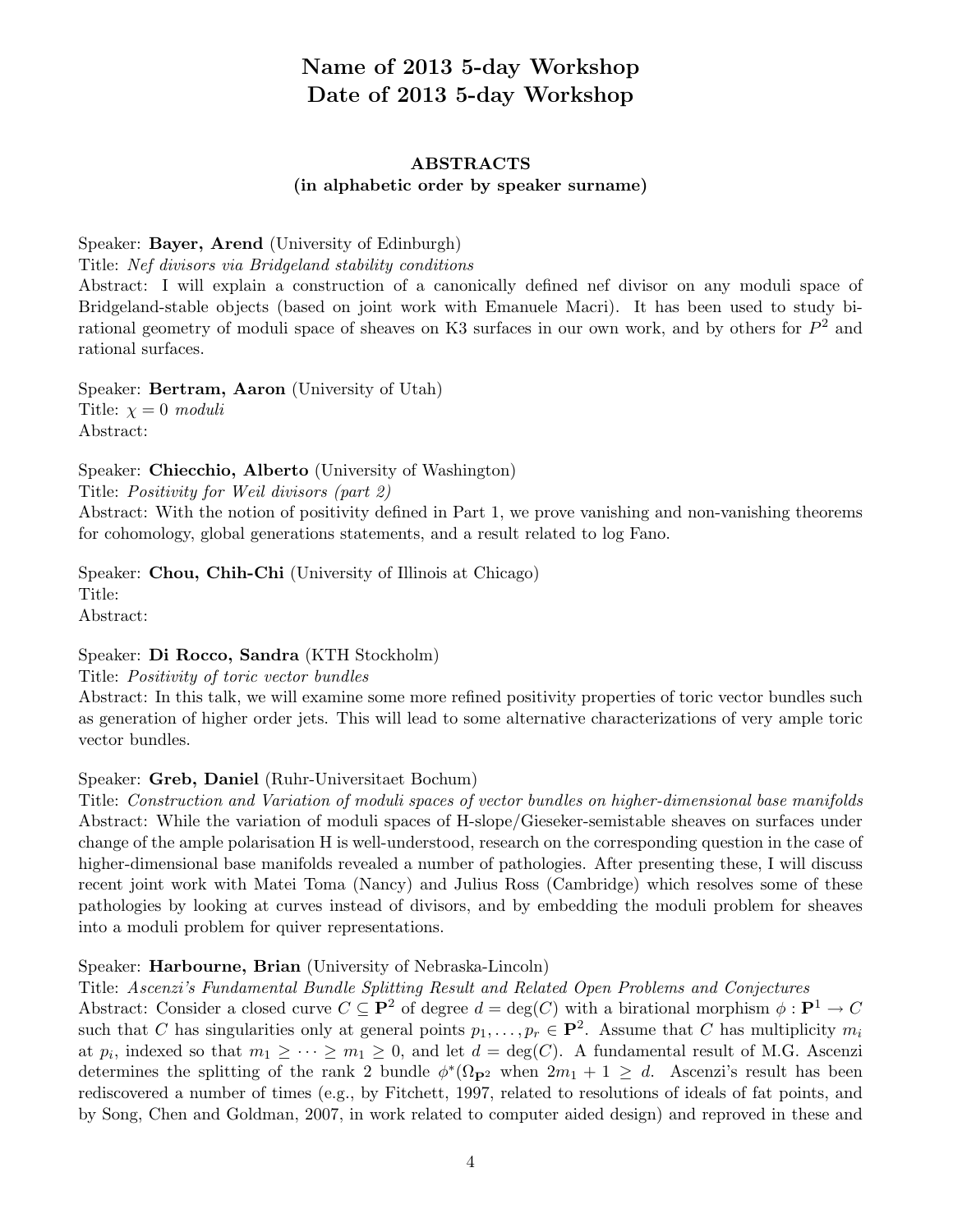# Name of 2013 5-day Workshop Date of 2013 5-day Workshop

# ABSTRACTS (in alphabetic order by speaker surname)

### Speaker: Bayer, Arend (University of Edinburgh)

Title: *Nef divisors via Bridgeland stability conditions*

Abstract: I will explain a construction of a canonically defined nef divisor on any moduli space of Bridgeland-stable objects (based on joint work with Emanuele Macri). It has been used to study birational geometry of moduli space of sheaves on K3 surfaces in our own work, and by others for *P*<sup>2</sup> and rational surfaces.

Speaker: Bertram, Aaron (University of Utah) Title:  $\chi = 0$  *moduli* Abstract:

Speaker: Chiecchio, Alberto (University of Washington)

Title: *Positivity for Weil divisors (part 2)*

Abstract: With the notion of positivity defined in Part 1, we prove vanishing and non-vanishing theorems for cohomology, global generations statements, and a result related to log Fano.

Speaker: Chou, Chih-Chi (University of Illinois at Chicago) Title: Abstract:

Speaker: Di Rocco, Sandra (KTH Stockholm)

Title: *Positivity of toric vector bundles*

Abstract: In this talk, we will examine some more refined positivity properties of toric vector bundles such as generation of higher order jets. This will lead to some alternative characterizations of very ample toric vector bundles.

# Speaker: Greb, Daniel (Ruhr-Universitaet Bochum)

Title: *Construction and Variation of moduli spaces of vector bundles on higher-dimensional base manifolds* Abstract: While the variation of moduli spaces of H-slope/Gieseker-semistable sheaves on surfaces under change of the ample polarisation H is well-understood, research on the corresponding question in the case of higher-dimensional base manifolds revealed a number of pathologies. After presenting these, I will discuss recent joint work with Matei Toma (Nancy) and Julius Ross (Cambridge) which resolves some of these pathologies by looking at curves instead of divisors, and by embedding the moduli problem for sheaves into a moduli problem for quiver representations.

#### Speaker: Harbourne, Brian (University of Nebraska-Lincoln)

Title: *Ascenzi's Fundamental Bundle Splitting Result and Related Open Problems and Conjectures*

Abstract: Consider a closed curve  $C \subseteq \mathbf{P}^2$  of degree  $d = \deg(C)$  with a birational morphism  $\phi : \mathbf{P}^1 \to C$ such that *C* has singularities only at general points  $p_1, \ldots, p_r \in \mathbf{P}^2$ . Assume that *C* has multiplicity  $m_i$ at  $p_i$ , indexed so that  $m_1 \geq \cdots \geq m_1 \geq 0$ , and let  $d = \deg(C)$ . A fundamental result of M.G. Ascenzi determines the splitting of the rank 2 bundle  $\phi^*(\Omega_{\mathbf{P}^2}$  when  $2m_1 + 1 \geq d$ . Ascenzi's result has been rediscovered a number of times (e.g., by Fitchett, 1997, related to resolutions of ideals of fat points, and by Song, Chen and Goldman, 2007, in work related to computer aided design) and reproved in these and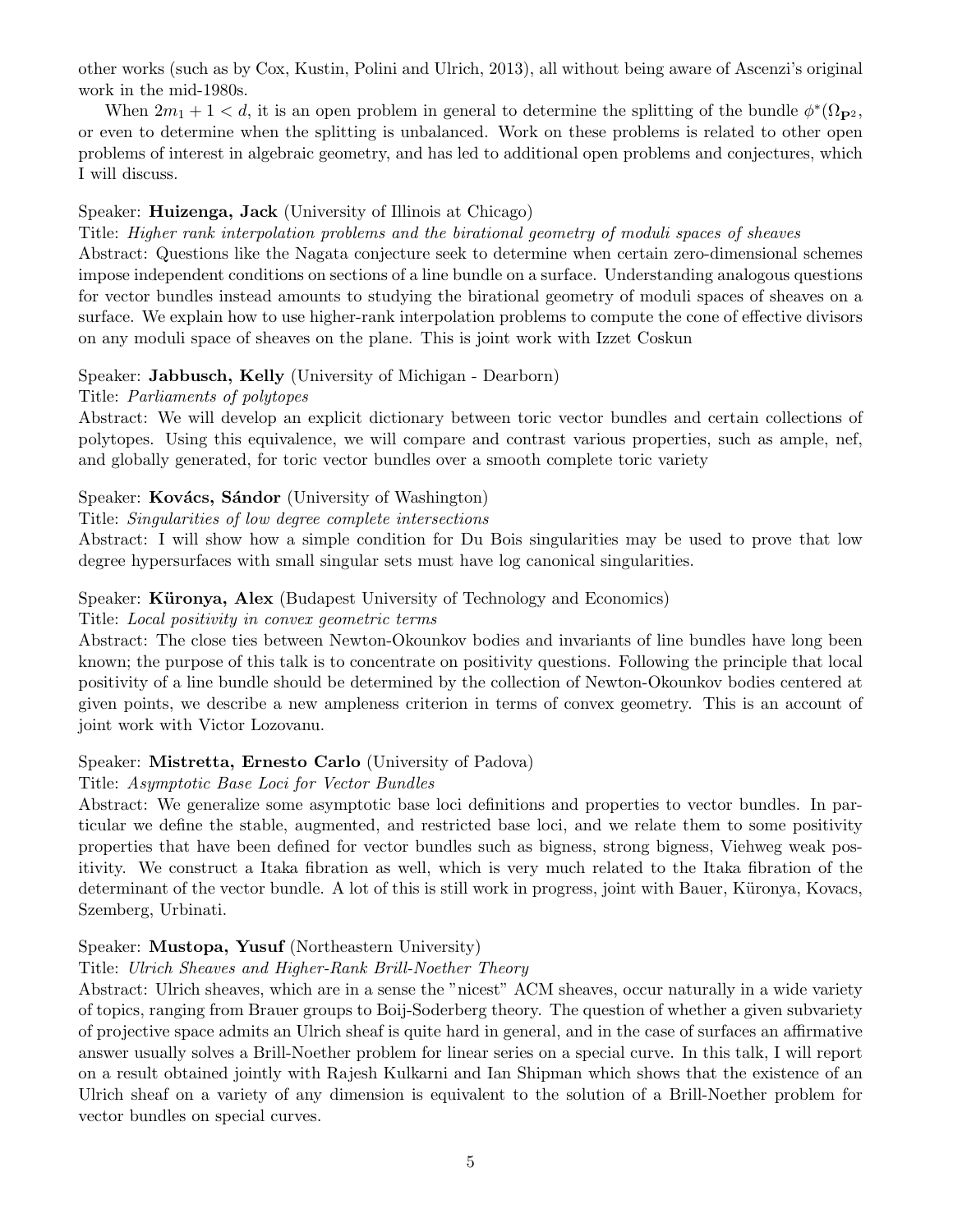other works (such as by Cox, Kustin, Polini and Ulrich, 2013), all without being aware of Ascenzi's original work in the mid-1980s.

When  $2m_1 + 1 < d$ , it is an open problem in general to determine the splitting of the bundle  $\phi^*(\Omega_{\mathbf{P}^2},$ or even to determine when the splitting is unbalanced. Work on these problems is related to other open problems of interest in algebraic geometry, and has led to additional open problems and conjectures, which I will discuss.

# Speaker: Huizenga, Jack (University of Illinois at Chicago)

Title: *Higher rank interpolation problems and the birational geometry of moduli spaces of sheaves* Abstract: Questions like the Nagata conjecture seek to determine when certain zero-dimensional schemes impose independent conditions on sections of a line bundle on a surface. Understanding analogous questions for vector bundles instead amounts to studying the birational geometry of moduli spaces of sheaves on a surface. We explain how to use higher-rank interpolation problems to compute the cone of effective divisors on any moduli space of sheaves on the plane. This is joint work with Izzet Coskun

# Speaker: Jabbusch, Kelly (University of Michigan - Dearborn)

#### Title: *Parliaments of polytopes*

Abstract: We will develop an explicit dictionary between toric vector bundles and certain collections of polytopes. Using this equivalence, we will compare and contrast various properties, such as ample, nef, and globally generated, for toric vector bundles over a smooth complete toric variety

# Speaker: Kovács, Sándor (University of Washington)

#### Title: *Singularities of low degree complete intersections*

Abstract: I will show how a simple condition for Du Bois singularities may be used to prove that low degree hypersurfaces with small singular sets must have log canonical singularities.

#### Speaker: Küronya, Alex (Budapest University of Technology and Economics)

#### Title: *Local positivity in convex geometric terms*

Abstract: The close ties between Newton-Okounkov bodies and invariants of line bundles have long been known; the purpose of this talk is to concentrate on positivity questions. Following the principle that local positivity of a line bundle should be determined by the collection of Newton-Okounkov bodies centered at given points, we describe a new ampleness criterion in terms of convex geometry. This is an account of joint work with Victor Lozovanu.

# Speaker: Mistretta, Ernesto Carlo (University of Padova)

#### Title: *Asymptotic Base Loci for Vector Bundles*

Abstract: We generalize some asymptotic base loci definitions and properties to vector bundles. In particular we define the stable, augmented, and restricted base loci, and we relate them to some positivity properties that have been defined for vector bundles such as bigness, strong bigness, Viehweg weak positivity. We construct a Itaka fibration as well, which is very much related to the Itaka fibration of the determinant of the vector bundle. A lot of this is still work in progress, joint with Bauer, Küronya, Kovacs, Szemberg, Urbinati.

#### Speaker: Mustopa, Yusuf (Northeastern University)

# Title: *Ulrich Sheaves and Higher-Rank Brill-Noether Theory*

Abstract: Ulrich sheaves, which are in a sense the "nicest" ACM sheaves, occur naturally in a wide variety of topics, ranging from Brauer groups to Boij-Soderberg theory. The question of whether a given subvariety of projective space admits an Ulrich sheaf is quite hard in general, and in the case of surfaces an affirmative answer usually solves a Brill-Noether problem for linear series on a special curve. In this talk, I will report on a result obtained jointly with Rajesh Kulkarni and Ian Shipman which shows that the existence of an Ulrich sheaf on a variety of any dimension is equivalent to the solution of a Brill-Noether problem for vector bundles on special curves.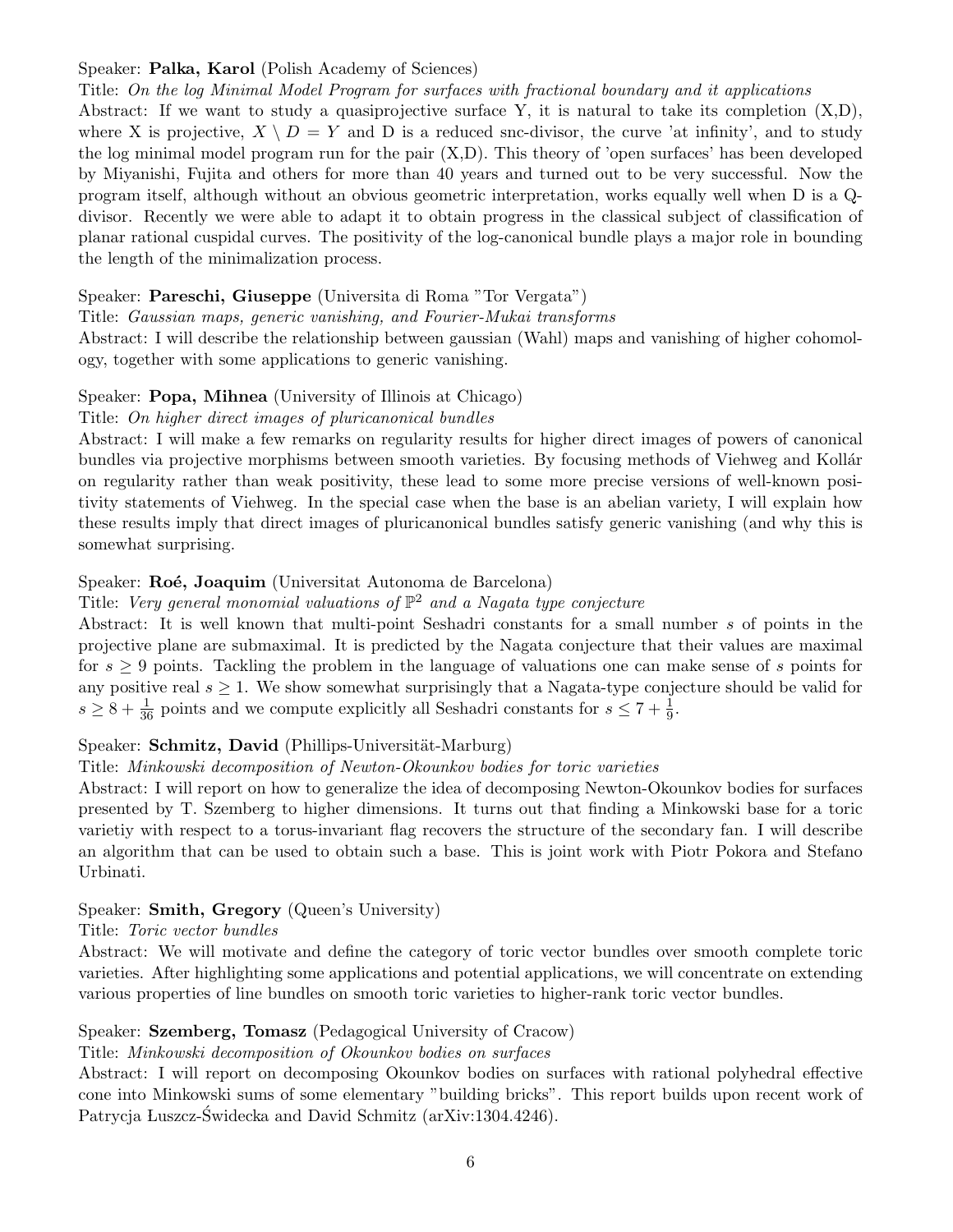# Speaker: Palka, Karol (Polish Academy of Sciences)

Title: *On the log Minimal Model Program for surfaces with fractional boundary and it applications* Abstract: If we want to study a quasiprojective surface Y, it is natural to take its completion (X,D), where X is projective,  $X \setminus D = Y$  and D is a reduced snc-divisor, the curve 'at infinity', and to study the log minimal model program run for the pair (X,D). This theory of 'open surfaces' has been developed by Miyanishi, Fujita and others for more than 40 years and turned out to be very successful. Now the program itself, although without an obvious geometric interpretation, works equally well when D is a Qdivisor. Recently we were able to adapt it to obtain progress in the classical subject of classification of planar rational cuspidal curves. The positivity of the log-canonical bundle plays a major role in bounding the length of the minimalization process.

# Speaker: Pareschi, Giuseppe (Universita di Roma "Tor Vergata")

Title: *Gaussian maps, generic vanishing, and Fourier-Mukai transforms*

Abstract: I will describe the relationship between gaussian (Wahl) maps and vanishing of higher cohomology, together with some applications to generic vanishing.

# Speaker: Popa, Mihnea (University of Illinois at Chicago)

# Title: *On higher direct images of pluricanonical bundles*

Abstract: I will make a few remarks on regularity results for higher direct images of powers of canonical bundles via projective morphisms between smooth varieties. By focusing methods of Viehweg and Kollár on regularity rather than weak positivity, these lead to some more precise versions of well-known positivity statements of Viehweg. In the special case when the base is an abelian variety, I will explain how these results imply that direct images of pluricanonical bundles satisfy generic vanishing (and why this is somewhat surprising.

# Speaker: Roé, Joaquim (Universitat Autonoma de Barcelona)

# Title: *Very general monomial valuations of* P<sup>2</sup> *and a Nagata type conjecture*

Abstract: It is well known that multi-point Seshadri constants for a small number *s* of points in the projective plane are submaximal. It is predicted by the Nagata conjecture that their values are maximal for  $s \geq 9$  points. Tackling the problem in the language of valuations one can make sense of *s* points for any positive real  $s \geq 1$ . We show somewhat surprisingly that a Nagata-type conjecture should be valid for  $s \geq 8 + \frac{1}{36}$  points and we compute explicitly all Seshadri constants for  $s \leq 7 + \frac{1}{9}$ .

# Speaker: Schmitz, David (Phillips-Universität-Marburg)

# Title: *Minkowski decomposition of Newton-Okounkov bodies for toric varieties*

Abstract: I will report on how to generalize the idea of decomposing Newton-Okounkov bodies for surfaces presented by T. Szemberg to higher dimensions. It turns out that finding a Minkowski base for a toric varietiy with respect to a torus-invariant flag recovers the structure of the secondary fan. I will describe an algorithm that can be used to obtain such a base. This is joint work with Piotr Pokora and Stefano Urbinati.

# Speaker: Smith, Gregory (Queen's University)

# Title: *Toric vector bundles*

Abstract: We will motivate and define the category of toric vector bundles over smooth complete toric varieties. After highlighting some applications and potential applications, we will concentrate on extending various properties of line bundles on smooth toric varieties to higher-rank toric vector bundles.

# Speaker: Szemberg, Tomasz (Pedagogical University of Cracow)

# Title: *Minkowski decomposition of Okounkov bodies on surfaces*

Abstract: I will report on decomposing Okounkov bodies on surfaces with rational polyhedral effective cone into Minkowski sums of some elementary "building bricks". This report builds upon recent work of Patrycja Luszcz-Świdecka and David Schmitz (arXiv:1304.4246).